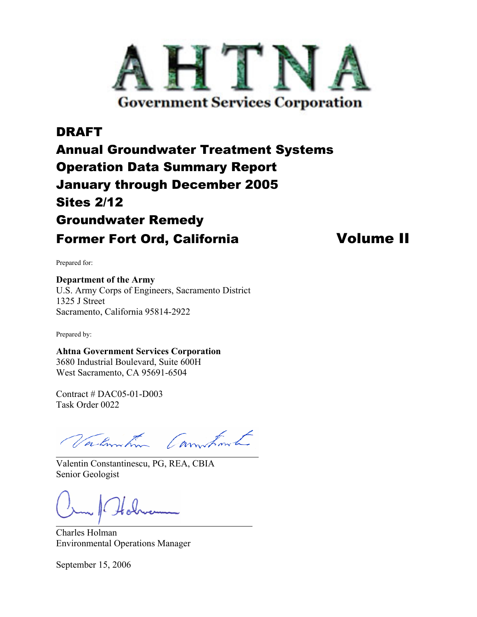

# DRAFT Annual Groundwater Treatment Systems Operation Data Summary Report January through December 2005 Sites 2/12 Groundwater Remedy Former Fort Ord, California **Volume II**

Prepared for:

**Department of the Army**  U.S. Army Corps of Engineers, Sacramento District 1325 J Street Sacramento, California 95814-2922

Prepared by:

**Ahtna Government Services Corporation**  3680 Industrial Boulevard, Suite 600H West Sacramento, CA 95691-6504

Contract # DAC05-01-D003 Task Order 0022

Valmintin Commutant

Į

Valentin Constantinescu, PG, REA, CBIA Senior Geologist

Charles Holman Environmental Operations Manager

September 15, 2006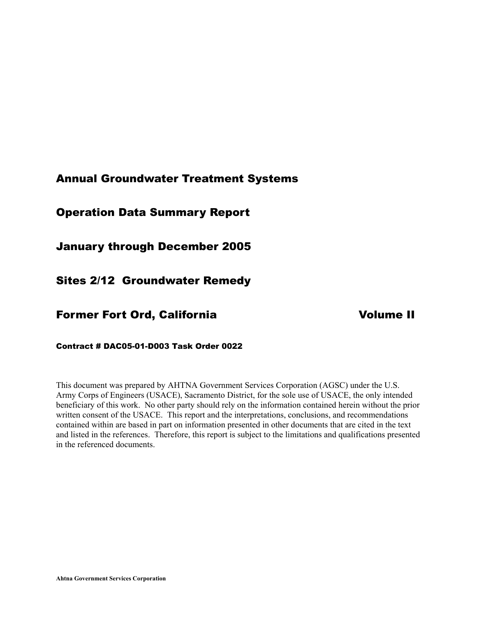# Annual Groundwater Treatment Systems

# Operation Data Summary Report

January through December 2005

Sites 2/12 Groundwater Remedy

# Former Fort Ord, California Volume II

Contract # DAC05-01-D003 Task Order 0022

This document was prepared by AHTNA Government Services Corporation (AGSC) under the U.S. Army Corps of Engineers (USACE), Sacramento District, for the sole use of USACE, the only intended beneficiary of this work. No other party should rely on the information contained herein without the prior written consent of the USACE. This report and the interpretations, conclusions, and recommendations contained within are based in part on information presented in other documents that are cited in the text and listed in the references. Therefore, this report is subject to the limitations and qualifications presented in the referenced documents.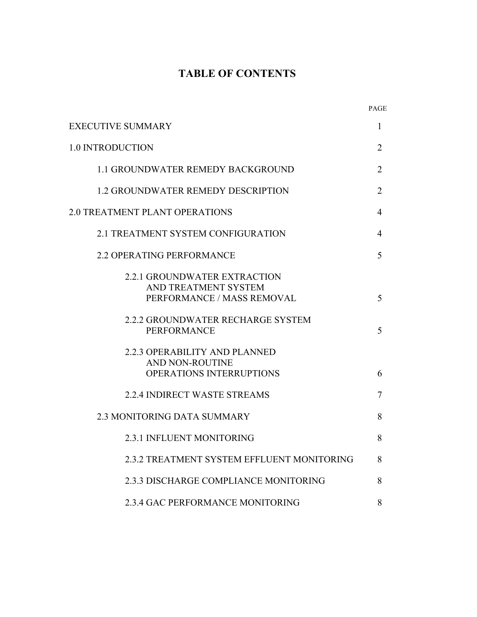# **TABLE OF CONTENTS**

|                                                                                           | PAGE           |
|-------------------------------------------------------------------------------------------|----------------|
| <b>EXECUTIVE SUMMARY</b>                                                                  | 1              |
| <b>1.0 INTRODUCTION</b>                                                                   | $\overline{2}$ |
| <b>1.1 GROUNDWATER REMEDY BACKGROUND</b>                                                  | $\overline{2}$ |
| <b>1.2 GROUNDWATER REMEDY DESCRIPTION</b>                                                 | $\overline{2}$ |
| <b>2.0 TREATMENT PLANT OPERATIONS</b>                                                     | 4              |
| 2.1 TREATMENT SYSTEM CONFIGURATION                                                        | 4              |
| 2.2 OPERATING PERFORMANCE                                                                 | 5              |
| <b>2.2.1 GROUNDWATER EXTRACTION</b><br>AND TREATMENT SYSTEM<br>PERFORMANCE / MASS REMOVAL | 5              |
| 2.2.2 GROUNDWATER RECHARGE SYSTEM<br><b>PERFORMANCE</b>                                   | 5              |
| 2.2.3 OPERABILITY AND PLANNED<br><b>AND NON-ROUTINE</b><br>OPERATIONS INTERRUPTIONS       | 6              |
| 2.2.4 INDIRECT WASTE STREAMS                                                              | 7              |
| <b>2.3 MONITORING DATA SUMMARY</b>                                                        | 8              |
| 2.3.1 INFLUENT MONITORING                                                                 | 8              |
| 2.3.2 TREATMENT SYSTEM EFFLUENT MONITORING                                                | 8              |
| 2.3.3 DISCHARGE COMPLIANCE MONITORING                                                     | 8              |
| 2.3.4 GAC PERFORMANCE MONITORING                                                          | 8              |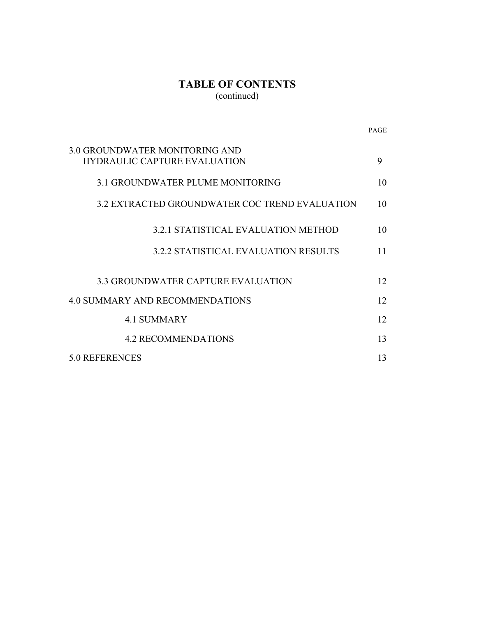# **TABLE OF CONTENTS**  (continued)

|                                                                       | <b>PAGE</b> |
|-----------------------------------------------------------------------|-------------|
| 3.0 GROUNDWATER MONITORING AND<br><b>HYDRAULIC CAPTURE EVALUATION</b> | 9           |
| <b>3.1 GROUNDWATER PLUME MONITORING</b>                               | 10          |
| 3.2 EXTRACTED GROUNDWATER COC TREND EVALUATION                        | 10          |
| 3.2.1 STATISTICAL EVALUATION METHOD                                   | 10          |
| 3.2.2 STATISTICAL EVALUATION RESULTS                                  | 11          |
| <b>3.3 GROUNDWATER CAPTURE EVALUATION</b>                             | 12          |
| <b>4.0 SUMMARY AND RECOMMENDATIONS</b>                                | 12          |
| <b>4.1 SUMMARY</b>                                                    | 12          |
| <b>4.2 RECOMMENDATIONS</b>                                            | 13          |
| 5.0 REFERENCES                                                        | 13          |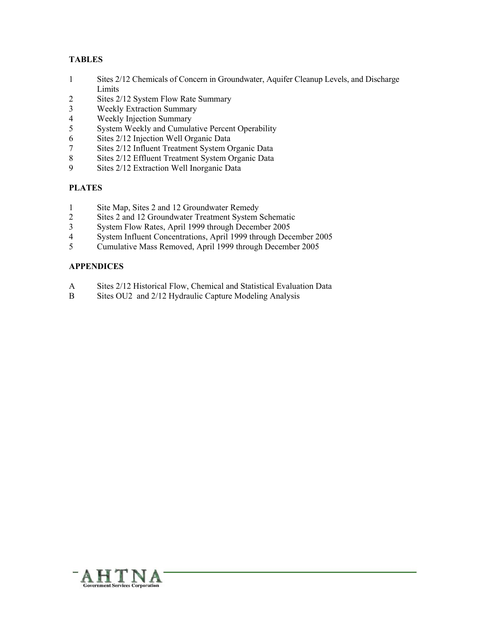#### **TABLES**

- 1 Sites 2/12 Chemicals of Concern in Groundwater, Aquifer Cleanup Levels, and Discharge Limits<br>2 Sites 2
- 2 Sites 2/12 System Flow Rate Summary<br>3 Weekly Extraction Summary
- Weekly Extraction Summary
- 4 Weekly Injection Summary
- 5 System Weekly and Cumulative Percent Operability
- 6 Sites 2/12 Injection Well Organic Data
- 7 Sites 2/12 Influent Treatment System Organic Data
- 8 Sites 2/12 Effluent Treatment System Organic Data<br>9 Sites 2/12 Extraction Well Inorganic Data
- Sites 2/12 Extraction Well Inorganic Data

#### **PLATES**

- 1 Site Map, Sites 2 and 12 Groundwater Remedy
- 2 Sites 2 and 12 Groundwater Treatment System Schematic
- 3 System Flow Rates, April 1999 through December 2005
- 4 System Influent Concentrations, April 1999 through December 2005<br>5 Cumulative Mass Removed. April 1999 through December 2005
- 5 Cumulative Mass Removed, April 1999 through December 2005

#### **APPENDICES**

- A Sites 2/12 Historical Flow, Chemical and Statistical Evaluation Data
- B Sites OU2 and 2/12 Hydraulic Capture Modeling Analysis

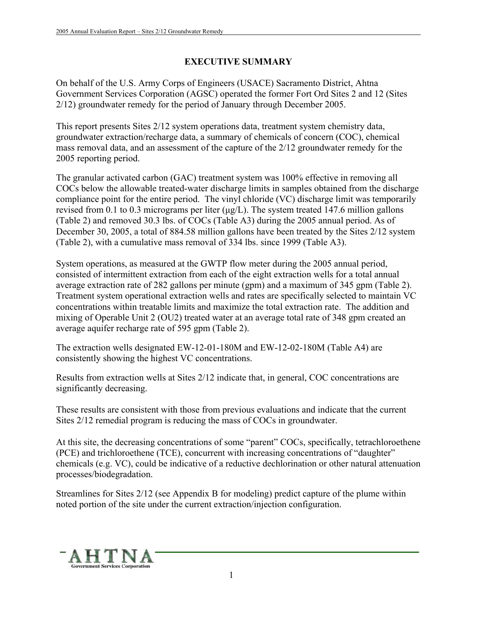# **EXECUTIVE SUMMARY**

On behalf of the U.S. Army Corps of Engineers (USACE) Sacramento District, Ahtna Government Services Corporation (AGSC) operated the former Fort Ord Sites 2 and 12 (Sites 2/12) groundwater remedy for the period of January through December 2005.

This report presents Sites 2/12 system operations data, treatment system chemistry data, groundwater extraction/recharge data, a summary of chemicals of concern (COC), chemical mass removal data, and an assessment of the capture of the 2/12 groundwater remedy for the 2005 reporting period.

The granular activated carbon (GAC) treatment system was 100% effective in removing all COCs below the allowable treated-water discharge limits in samples obtained from the discharge compliance point for the entire period. The vinyl chloride (VC) discharge limit was temporarily revised from 0.1 to 0.3 micrograms per liter  $(\mu g/L)$ . The system treated 147.6 million gallons (Table 2) and removed 30.3 lbs. of COCs (Table A3) during the 2005 annual period. As of December 30, 2005, a total of 884.58 million gallons have been treated by the Sites 2/12 system (Table 2), with a cumulative mass removal of 334 lbs. since 1999 (Table A3).

System operations, as measured at the GWTP flow meter during the 2005 annual period, consisted of intermittent extraction from each of the eight extraction wells for a total annual average extraction rate of 282 gallons per minute (gpm) and a maximum of 345 gpm (Table 2). Treatment system operational extraction wells and rates are specifically selected to maintain VC concentrations within treatable limits and maximize the total extraction rate. The addition and mixing of Operable Unit 2 (OU2) treated water at an average total rate of 348 gpm created an average aquifer recharge rate of 595 gpm (Table 2).

The extraction wells designated EW-12-01-180M and EW-12-02-180M (Table A4) are consistently showing the highest VC concentrations.

Results from extraction wells at Sites 2/12 indicate that, in general, COC concentrations are significantly decreasing.

These results are consistent with those from previous evaluations and indicate that the current Sites 2/12 remedial program is reducing the mass of COCs in groundwater.

At this site, the decreasing concentrations of some "parent" COCs, specifically, tetrachloroethene (PCE) and trichloroethene (TCE), concurrent with increasing concentrations of "daughter" chemicals (e.g. VC), could be indicative of a reductive dechlorination or other natural attenuation processes/biodegradation.

Streamlines for Sites 2/12 (see Appendix B for modeling) predict capture of the plume within noted portion of the site under the current extraction/injection configuration.

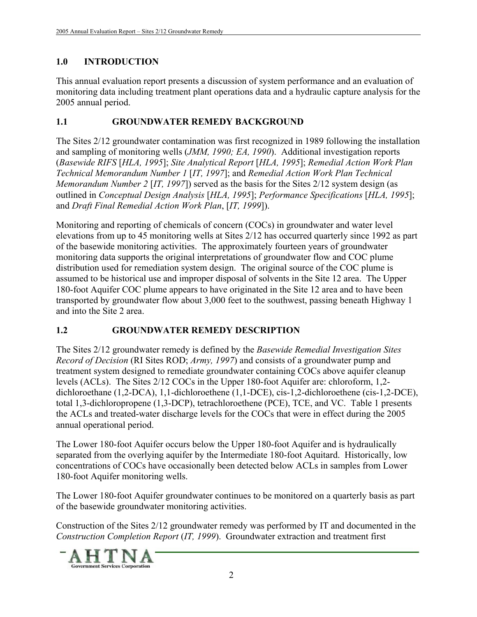# **1.0 INTRODUCTION**

This annual evaluation report presents a discussion of system performance and an evaluation of monitoring data including treatment plant operations data and a hydraulic capture analysis for the 2005 annual period.

# **1.1 GROUNDWATER REMEDY BACKGROUND**

The Sites 2/12 groundwater contamination was first recognized in 1989 following the installation and sampling of monitoring wells (*JMM, 1990; EA, 1990*). Additional investigation reports (*Basewide RIFS* [*HLA, 1995*]; *Site Analytical Report* [*HLA, 1995*]; *Remedial Action Work Plan Technical Memorandum Number 1* [*IT, 1997*]; and *Remedial Action Work Plan Technical Memorandum Number 2* [*IT, 1997*]) served as the basis for the Sites 2/12 system design (as outlined in *Conceptual Design Analysis* [*HLA, 1995*]; *Performance Specifications* [*HLA, 1995*]; and *Draft Final Remedial Action Work Plan*, [*IT, 1999*]).

Monitoring and reporting of chemicals of concern (COCs) in groundwater and water level elevations from up to 45 monitoring wells at Sites 2/12 has occurred quarterly since 1992 as part of the basewide monitoring activities. The approximately fourteen years of groundwater monitoring data supports the original interpretations of groundwater flow and COC plume distribution used for remediation system design. The original source of the COC plume is assumed to be historical use and improper disposal of solvents in the Site 12 area. The Upper 180-foot Aquifer COC plume appears to have originated in the Site 12 area and to have been transported by groundwater flow about 3,000 feet to the southwest, passing beneath Highway 1 and into the Site 2 area.

# **1.2 GROUNDWATER REMEDY DESCRIPTION**

The Sites 2/12 groundwater remedy is defined by the *Basewide Remedial Investigation Sites Record of Decision* (RI Sites ROD; *Army, 1997*) and consists of a groundwater pump and treatment system designed to remediate groundwater containing COCs above aquifer cleanup levels (ACLs). The Sites 2/12 COCs in the Upper 180-foot Aquifer are: chloroform, 1,2 dichloroethane (1,2-DCA), 1,1-dichloroethene (1,1-DCE), cis-1,2-dichloroethene (cis-1,2-DCE), total 1,3-dichloropropene (1,3-DCP), tetrachloroethene (PCE), TCE, and VC. Table 1 presents the ACLs and treated-water discharge levels for the COCs that were in effect during the 2005 annual operational period.

The Lower 180-foot Aquifer occurs below the Upper 180-foot Aquifer and is hydraulically separated from the overlying aquifer by the Intermediate 180-foot Aquitard. Historically, low concentrations of COCs have occasionally been detected below ACLs in samples from Lower 180-foot Aquifer monitoring wells.

The Lower 180-foot Aquifer groundwater continues to be monitored on a quarterly basis as part of the basewide groundwater monitoring activities.

Construction of the Sites 2/12 groundwater remedy was performed by IT and documented in the *Construction Completion Report* (*IT, 1999*). Groundwater extraction and treatment first

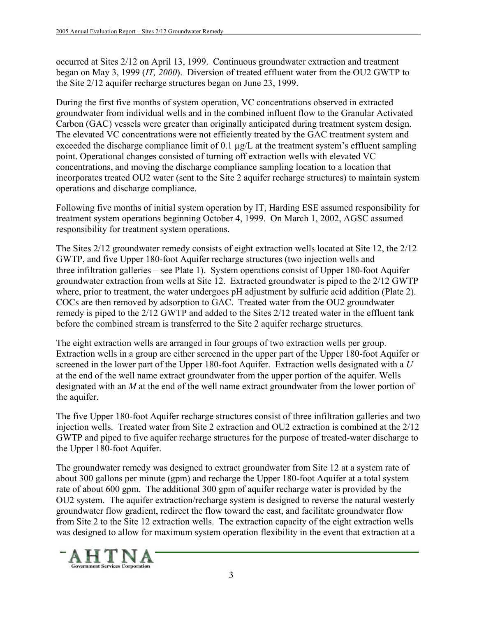occurred at Sites 2/12 on April 13, 1999. Continuous groundwater extraction and treatment began on May 3, 1999 (*IT, 2000*). Diversion of treated effluent water from the OU2 GWTP to the Site 2/12 aquifer recharge structures began on June 23, 1999.

During the first five months of system operation, VC concentrations observed in extracted groundwater from individual wells and in the combined influent flow to the Granular Activated Carbon (GAC) vessels were greater than originally anticipated during treatment system design. The elevated VC concentrations were not efficiently treated by the GAC treatment system and exceeded the discharge compliance limit of 0.1 µg/L at the treatment system's effluent sampling point. Operational changes consisted of turning off extraction wells with elevated VC concentrations, and moving the discharge compliance sampling location to a location that incorporates treated OU2 water (sent to the Site 2 aquifer recharge structures) to maintain system operations and discharge compliance.

Following five months of initial system operation by IT, Harding ESE assumed responsibility for treatment system operations beginning October 4, 1999. On March 1, 2002, AGSC assumed responsibility for treatment system operations.

The Sites 2/12 groundwater remedy consists of eight extraction wells located at Site 12, the 2/12 GWTP, and five Upper 180-foot Aquifer recharge structures (two injection wells and three infiltration galleries – see Plate 1). System operations consist of Upper 180-foot Aquifer groundwater extraction from wells at Site 12. Extracted groundwater is piped to the 2/12 GWTP where, prior to treatment, the water undergoes pH adjustment by sulfuric acid addition (Plate 2). COCs are then removed by adsorption to GAC. Treated water from the OU2 groundwater remedy is piped to the 2/12 GWTP and added to the Sites 2/12 treated water in the effluent tank before the combined stream is transferred to the Site 2 aquifer recharge structures.

The eight extraction wells are arranged in four groups of two extraction wells per group. Extraction wells in a group are either screened in the upper part of the Upper 180-foot Aquifer or screened in the lower part of the Upper 180-foot Aquifer. Extraction wells designated with a *U* at the end of the well name extract groundwater from the upper portion of the aquifer. Wells designated with an *M* at the end of the well name extract groundwater from the lower portion of the aquifer.

The five Upper 180-foot Aquifer recharge structures consist of three infiltration galleries and two injection wells. Treated water from Site 2 extraction and OU2 extraction is combined at the 2/12 GWTP and piped to five aquifer recharge structures for the purpose of treated-water discharge to the Upper 180-foot Aquifer.

The groundwater remedy was designed to extract groundwater from Site 12 at a system rate of about 300 gallons per minute (gpm) and recharge the Upper 180-foot Aquifer at a total system rate of about 600 gpm. The additional 300 gpm of aquifer recharge water is provided by the OU2 system. The aquifer extraction/recharge system is designed to reverse the natural westerly groundwater flow gradient, redirect the flow toward the east, and facilitate groundwater flow from Site 2 to the Site 12 extraction wells. The extraction capacity of the eight extraction wells was designed to allow for maximum system operation flexibility in the event that extraction at a

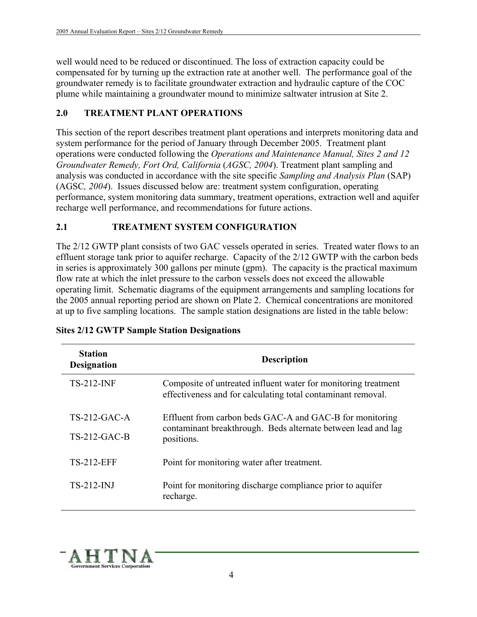well would need to be reduced or discontinued. The loss of extraction capacity could be compensated for by turning up the extraction rate at another well. The performance goal of the groundwater remedy is to facilitate groundwater extraction and hydraulic capture of the COC plume while maintaining a groundwater mound to minimize saltwater intrusion at Site 2.

# **2.0 TREATMENT PLANT OPERATIONS**

This section of the report describes treatment plant operations and interprets monitoring data and system performance for the period of January through December 2005. Treatment plant operations were conducted following the *Operations and Maintenance Manual, Sites 2 and 12 Groundwater Remedy, Fort Ord, California* (*AGSC, 2004*). Treatment plant sampling and analysis was conducted in accordance with the site specific *Sampling and Analysis Plan* (SAP) (AGSC*, 2004*). Issues discussed below are: treatment system configuration, operating performance, system monitoring data summary, treatment operations, extraction well and aquifer recharge well performance, and recommendations for future actions.

# **2.1 TREATMENT SYSTEM CONFIGURATION**

The 2/12 GWTP plant consists of two GAC vessels operated in series. Treated water flows to an effluent storage tank prior to aquifer recharge. Capacity of the 2/12 GWTP with the carbon beds in series is approximately 300 gallons per minute (gpm). The capacity is the practical maximum flow rate at which the inlet pressure to the carbon vessels does not exceed the allowable operating limit. Schematic diagrams of the equipment arrangements and sampling locations for the 2005 annual reporting period are shown on Plate 2. Chemical concentrations are monitored at up to five sampling locations. The sample station designations are listed in the table below:

| <b>Station</b><br><b>Designation</b> | <b>Description</b>                                                                                                             |
|--------------------------------------|--------------------------------------------------------------------------------------------------------------------------------|
| <b>TS-212-INF</b>                    | Composite of untreated influent water for monitoring treatment<br>effectiveness and for calculating total contaminant removal. |
| $TS-212-GAC-A$                       | Effluent from carbon beds GAC-A and GAC-B for monitoring<br>contaminant breakthrough. Beds alternate between lead and lag      |
| $TS-212-GAC-B$                       | positions.                                                                                                                     |
| <b>TS-212-EFF</b>                    | Point for monitoring water after treatment.                                                                                    |
| $TS-212-NJ$                          | Point for monitoring discharge compliance prior to aquifer<br>recharge.                                                        |

#### **Sites 2/12 GWTP Sample Station Designations**

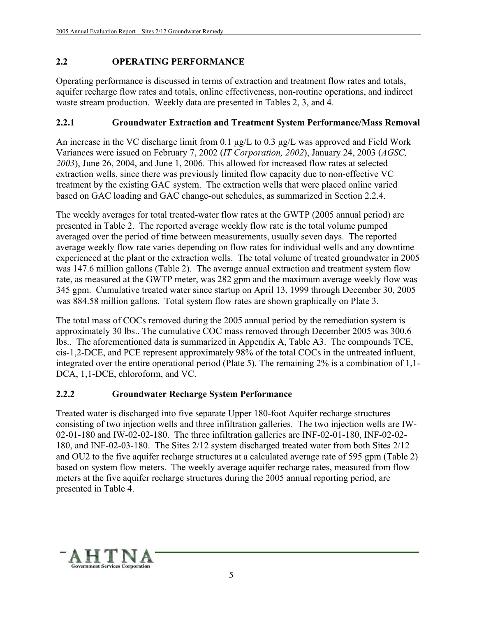# **2.2 OPERATING PERFORMANCE**

Operating performance is discussed in terms of extraction and treatment flow rates and totals, aquifer recharge flow rates and totals, online effectiveness, non-routine operations, and indirect waste stream production. Weekly data are presented in Tables 2, 3, and 4.

# **2.2.1 Groundwater Extraction and Treatment System Performance/Mass Removal**

An increase in the VC discharge limit from 0.1  $\mu$ g/L to 0.3  $\mu$ g/L was approved and Field Work Variances were issued on February 7, 2002 (*IT Corporation, 2002*), January 24, 2003 (*AGSC, 2003*), June 26, 2004, and June 1, 2006. This allowed for increased flow rates at selected extraction wells, since there was previously limited flow capacity due to non-effective VC treatment by the existing GAC system. The extraction wells that were placed online varied based on GAC loading and GAC change-out schedules, as summarized in Section 2.2.4.

The weekly averages for total treated-water flow rates at the GWTP (2005 annual period) are presented in Table 2. The reported average weekly flow rate is the total volume pumped averaged over the period of time between measurements, usually seven days. The reported average weekly flow rate varies depending on flow rates for individual wells and any downtime experienced at the plant or the extraction wells. The total volume of treated groundwater in 2005 was 147.6 million gallons (Table 2). The average annual extraction and treatment system flow rate, as measured at the GWTP meter, was 282 gpm and the maximum average weekly flow was 345 gpm. Cumulative treated water since startup on April 13, 1999 through December 30, 2005 was 884.58 million gallons. Total system flow rates are shown graphically on Plate 3.

The total mass of COCs removed during the 2005 annual period by the remediation system is approximately 30 lbs.. The cumulative COC mass removed through December 2005 was 300.6 lbs.. The aforementioned data is summarized in Appendix A, Table A3. The compounds TCE, cis-1,2-DCE, and PCE represent approximately 98% of the total COCs in the untreated influent, integrated over the entire operational period (Plate 5). The remaining 2% is a combination of 1,1- DCA, 1,1-DCE, chloroform, and VC.

# **2.2.2 Groundwater Recharge System Performance**

Treated water is discharged into five separate Upper 180-foot Aquifer recharge structures consisting of two injection wells and three infiltration galleries. The two injection wells are IW-02-01-180 and IW-02-02-180. The three infiltration galleries are INF-02-01-180, INF-02-02- 180, and INF-02-03-180. The Sites 2/12 system discharged treated water from both Sites 2/12 and OU2 to the five aquifer recharge structures at a calculated average rate of 595 gpm (Table 2) based on system flow meters. The weekly average aquifer recharge rates, measured from flow meters at the five aquifer recharge structures during the 2005 annual reporting period, are presented in Table 4.

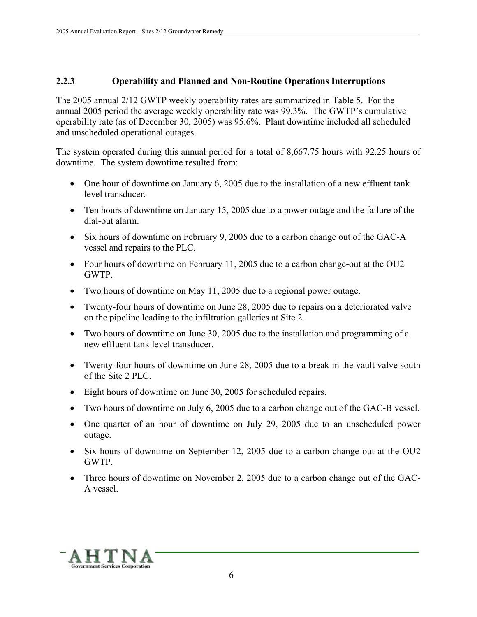#### **2.2.3 Operability and Planned and Non-Routine Operations Interruptions**

The 2005 annual 2/12 GWTP weekly operability rates are summarized in Table 5. For the annual 2005 period the average weekly operability rate was 99.3%. The GWTP's cumulative operability rate (as of December 30, 2005) was 95.6%. Plant downtime included all scheduled and unscheduled operational outages.

The system operated during this annual period for a total of 8,667.75 hours with 92.25 hours of downtime. The system downtime resulted from:

- One hour of downtime on January 6, 2005 due to the installation of a new effluent tank level transducer.
- Ten hours of downtime on January 15, 2005 due to a power outage and the failure of the dial-out alarm.
- Six hours of downtime on February 9, 2005 due to a carbon change out of the GAC-A vessel and repairs to the PLC.
- Four hours of downtime on February 11, 2005 due to a carbon change-out at the OU2 GWTP.
- Two hours of downtime on May 11, 2005 due to a regional power outage.
- Twenty-four hours of downtime on June 28, 2005 due to repairs on a deteriorated valve on the pipeline leading to the infiltration galleries at Site 2.
- Two hours of downtime on June 30, 2005 due to the installation and programming of a new effluent tank level transducer.
- Twenty-four hours of downtime on June 28, 2005 due to a break in the vault valve south of the Site 2 PLC.
- Eight hours of downtime on June 30, 2005 for scheduled repairs.
- Two hours of downtime on July 6, 2005 due to a carbon change out of the GAC-B vessel.
- One quarter of an hour of downtime on July 29, 2005 due to an unscheduled power outage.
- Six hours of downtime on September 12, 2005 due to a carbon change out at the OU2 GWTP.
- Three hours of downtime on November 2, 2005 due to a carbon change out of the GAC-A vessel.

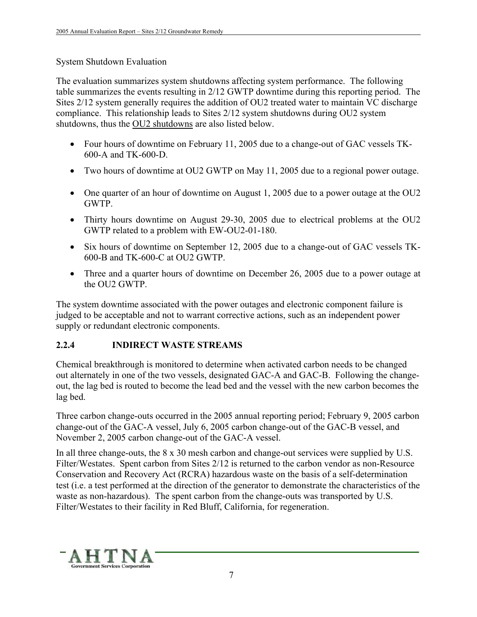#### System Shutdown Evaluation

The evaluation summarizes system shutdowns affecting system performance. The following table summarizes the events resulting in 2/12 GWTP downtime during this reporting period. The Sites 2/12 system generally requires the addition of OU2 treated water to maintain VC discharge compliance. This relationship leads to Sites 2/12 system shutdowns during OU2 system shutdowns, thus the OU2 shutdowns are also listed below.

- Four hours of downtime on February 11, 2005 due to a change-out of GAC vessels TK-600-A and TK-600-D.
- Two hours of downtime at OU2 GWTP on May 11, 2005 due to a regional power outage.
- One quarter of an hour of downtime on August 1, 2005 due to a power outage at the OU2 GWTP.
- Thirty hours downtime on August 29-30, 2005 due to electrical problems at the OU2 GWTP related to a problem with EW-OU2-01-180.
- Six hours of downtime on September 12, 2005 due to a change-out of GAC vessels TK-600-B and TK-600-C at OU2 GWTP.
- Three and a quarter hours of downtime on December 26, 2005 due to a power outage at the OU2 GWTP.

The system downtime associated with the power outages and electronic component failure is judged to be acceptable and not to warrant corrective actions, such as an independent power supply or redundant electronic components.

# **2.2.4 INDIRECT WASTE STREAMS**

Chemical breakthrough is monitored to determine when activated carbon needs to be changed out alternately in one of the two vessels, designated GAC-A and GAC-B. Following the changeout, the lag bed is routed to become the lead bed and the vessel with the new carbon becomes the lag bed.

Three carbon change-outs occurred in the 2005 annual reporting period; February 9, 2005 carbon change-out of the GAC-A vessel, July 6, 2005 carbon change-out of the GAC-B vessel, and November 2, 2005 carbon change-out of the GAC-A vessel.

In all three change-outs, the 8 x 30 mesh carbon and change-out services were supplied by U.S. Filter/Westates. Spent carbon from Sites 2/12 is returned to the carbon vendor as non-Resource Conservation and Recovery Act (RCRA) hazardous waste on the basis of a self-determination test (i.e. a test performed at the direction of the generator to demonstrate the characteristics of the waste as non-hazardous). The spent carbon from the change-outs was transported by U.S. Filter/Westates to their facility in Red Bluff, California, for regeneration.

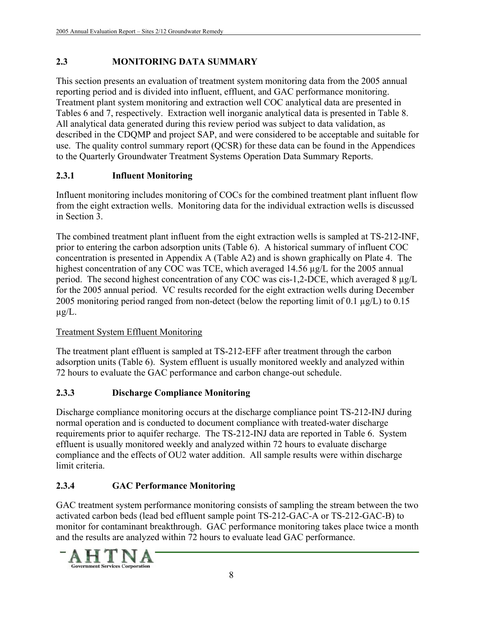# **2.3 MONITORING DATA SUMMARY**

This section presents an evaluation of treatment system monitoring data from the 2005 annual reporting period and is divided into influent, effluent, and GAC performance monitoring. Treatment plant system monitoring and extraction well COC analytical data are presented in Tables 6 and 7, respectively. Extraction well inorganic analytical data is presented in Table 8. All analytical data generated during this review period was subject to data validation, as described in the CDQMP and project SAP, and were considered to be acceptable and suitable for use. The quality control summary report (QCSR) for these data can be found in the Appendices to the Quarterly Groundwater Treatment Systems Operation Data Summary Reports.

# **2.3.1 Influent Monitoring**

Influent monitoring includes monitoring of COCs for the combined treatment plant influent flow from the eight extraction wells. Monitoring data for the individual extraction wells is discussed in Section 3.

The combined treatment plant influent from the eight extraction wells is sampled at TS-212-INF, prior to entering the carbon adsorption units (Table 6). A historical summary of influent COC concentration is presented in Appendix A (Table A2) and is shown graphically on Plate 4. The highest concentration of any COC was TCE, which averaged 14.56 µg/L for the 2005 annual period. The second highest concentration of any COC was cis-1,2-DCE, which averaged 8 µg/L for the 2005 annual period. VC results recorded for the eight extraction wells during December 2005 monitoring period ranged from non-detect (below the reporting limit of 0.1  $\mu$ g/L) to 0.15  $\mu$ g/L.

# Treatment System Effluent Monitoring

The treatment plant effluent is sampled at TS-212-EFF after treatment through the carbon adsorption units (Table 6). System effluent is usually monitored weekly and analyzed within 72 hours to evaluate the GAC performance and carbon change-out schedule.

# **2.3.3 Discharge Compliance Monitoring**

Discharge compliance monitoring occurs at the discharge compliance point TS-212-INJ during normal operation and is conducted to document compliance with treated-water discharge requirements prior to aquifer recharge. The TS-212-INJ data are reported in Table 6. System effluent is usually monitored weekly and analyzed within 72 hours to evaluate discharge compliance and the effects of OU2 water addition. All sample results were within discharge limit criteria.

# **2.3.4 GAC Performance Monitoring**

GAC treatment system performance monitoring consists of sampling the stream between the two activated carbon beds (lead bed effluent sample point TS-212-GAC-A or TS-212-GAC-B) to monitor for contaminant breakthrough. GAC performance monitoring takes place twice a month and the results are analyzed within 72 hours to evaluate lead GAC performance.

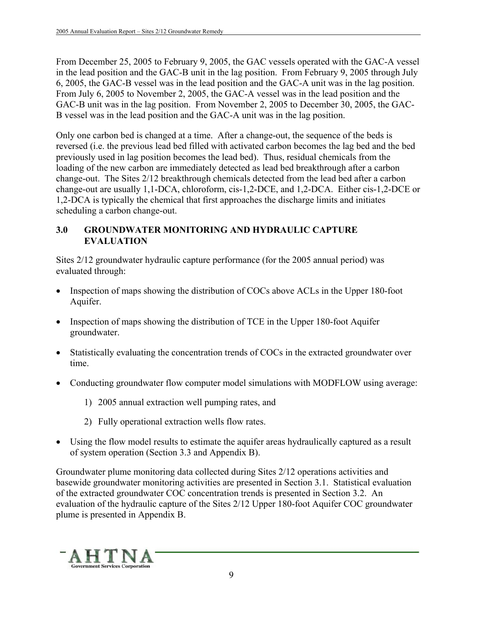From December 25, 2005 to February 9, 2005, the GAC vessels operated with the GAC-A vessel in the lead position and the GAC-B unit in the lag position. From February 9, 2005 through July 6, 2005, the GAC-B vessel was in the lead position and the GAC-A unit was in the lag position. From July 6, 2005 to November 2, 2005, the GAC-A vessel was in the lead position and the GAC-B unit was in the lag position. From November 2, 2005 to December 30, 2005, the GAC-B vessel was in the lead position and the GAC-A unit was in the lag position.

Only one carbon bed is changed at a time. After a change-out, the sequence of the beds is reversed (i.e. the previous lead bed filled with activated carbon becomes the lag bed and the bed previously used in lag position becomes the lead bed). Thus, residual chemicals from the loading of the new carbon are immediately detected as lead bed breakthrough after a carbon change-out. The Sites 2/12 breakthrough chemicals detected from the lead bed after a carbon change-out are usually 1,1-DCA, chloroform, cis-1,2-DCE, and 1,2-DCA. Either cis-1,2-DCE or 1,2-DCA is typically the chemical that first approaches the discharge limits and initiates scheduling a carbon change-out.

# **3.0 GROUNDWATER MONITORING AND HYDRAULIC CAPTURE EVALUATION**

Sites 2/12 groundwater hydraulic capture performance (for the 2005 annual period) was evaluated through:

- Inspection of maps showing the distribution of COCs above ACLs in the Upper 180-foot Aquifer.
- Inspection of maps showing the distribution of TCE in the Upper 180-foot Aquifer groundwater.
- Statistically evaluating the concentration trends of COCs in the extracted groundwater over time.
- Conducting groundwater flow computer model simulations with MODFLOW using average:
	- 1) 2005 annual extraction well pumping rates, and
	- 2) Fully operational extraction wells flow rates.
- Using the flow model results to estimate the aquifer areas hydraulically captured as a result of system operation (Section 3.3 and Appendix B).

Groundwater plume monitoring data collected during Sites 2/12 operations activities and basewide groundwater monitoring activities are presented in Section 3.1. Statistical evaluation of the extracted groundwater COC concentration trends is presented in Section 3.2. An evaluation of the hydraulic capture of the Sites 2/12 Upper 180-foot Aquifer COC groundwater plume is presented in Appendix B.

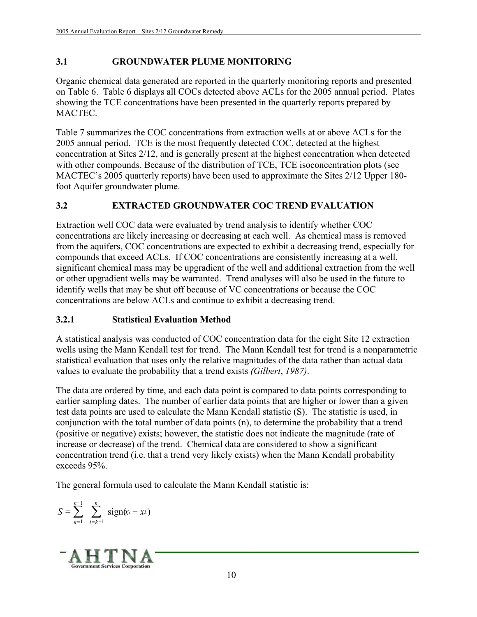# **3.1 GROUNDWATER PLUME MONITORING**

Organic chemical data generated are reported in the quarterly monitoring reports and presented on Table 6. Table 6 displays all COCs detected above ACLs for the 2005 annual period. Plates showing the TCE concentrations have been presented in the quarterly reports prepared by **MACTEC** 

Table 7 summarizes the COC concentrations from extraction wells at or above ACLs for the 2005 annual period. TCE is the most frequently detected COC, detected at the highest concentration at Sites 2/12, and is generally present at the highest concentration when detected with other compounds. Because of the distribution of TCE, TCE isoconcentration plots (see MACTEC's 2005 quarterly reports) have been used to approximate the Sites 2/12 Upper 180 foot Aquifer groundwater plume.

# **3.2 EXTRACTED GROUNDWATER COC TREND EVALUATION**

Extraction well COC data were evaluated by trend analysis to identify whether COC concentrations are likely increasing or decreasing at each well. As chemical mass is removed from the aquifers, COC concentrations are expected to exhibit a decreasing trend, especially for compounds that exceed ACLs. If COC concentrations are consistently increasing at a well, significant chemical mass may be upgradient of the well and additional extraction from the well or other upgradient wells may be warranted. Trend analyses will also be used in the future to identify wells that may be shut off because of VC concentrations or because the COC concentrations are below ACLs and continue to exhibit a decreasing trend.

# **3.2.1 Statistical Evaluation Method**

A statistical analysis was conducted of COC concentration data for the eight Site 12 extraction wells using the Mann Kendall test for trend. The Mann Kendall test for trend is a nonparametric statistical evaluation that uses only the relative magnitudes of the data rather than actual data values to evaluate the probability that a trend exists *(Gilbert*, *1987)*.

The data are ordered by time, and each data point is compared to data points corresponding to earlier sampling dates. The number of earlier data points that are higher or lower than a given test data points are used to calculate the Mann Kendall statistic (S). The statistic is used, in conjunction with the total number of data points (n), to determine the probability that a trend (positive or negative) exists; however, the statistic does not indicate the magnitude (rate of increase or decrease) of the trend. Chemical data are considered to show a significant concentration trend (i.e. that a trend very likely exists) when the Mann Kendall probability exceeds 95%.

The general formula used to calculate the Mann Kendall statistic is:

$$
S = \sum_{k=1}^{n-1} \sum_{j=k+1}^{n} sign(x_j - x_k)
$$

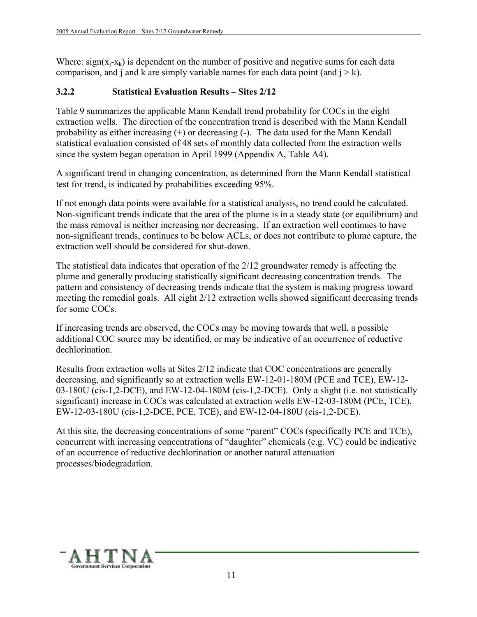Where:  $sign(x_i-x_k)$  is dependent on the number of positive and negative sums for each data comparison, and j and k are simply variable names for each data point (and  $j > k$ ).

# **3.2.2 Statistical Evaluation Results – Sites 2/12**

Table 9 summarizes the applicable Mann Kendall trend probability for COCs in the eight extraction wells. The direction of the concentration trend is described with the Mann Kendall probability as either increasing (+) or decreasing (-). The data used for the Mann Kendall statistical evaluation consisted of 48 sets of monthly data collected from the extraction wells since the system began operation in April 1999 (Appendix A, Table A4).

A significant trend in changing concentration, as determined from the Mann Kendall statistical test for trend, is indicated by probabilities exceeding 95%.

If not enough data points were available for a statistical analysis, no trend could be calculated. Non-significant trends indicate that the area of the plume is in a steady state (or equilibrium) and the mass removal is neither increasing nor decreasing. If an extraction well continues to have non-significant trends, continues to be below ACLs, or does not contribute to plume capture, the extraction well should be considered for shut-down.

The statistical data indicates that operation of the 2/12 groundwater remedy is affecting the plume and generally producing statistically significant decreasing concentration trends. The pattern and consistency of decreasing trends indicate that the system is making progress toward meeting the remedial goals. All eight 2/12 extraction wells showed significant decreasing trends for some COCs.

If increasing trends are observed, the COCs may be moving towards that well, a possible additional COC source may be identified, or may be indicative of an occurrence of reductive dechlorination.

Results from extraction wells at Sites 2/12 indicate that COC concentrations are generally decreasing, and significantly so at extraction wells EW-12-01-180M (PCE and TCE), EW-12- 03-180U (cis-1,2-DCE), and EW-12-04-180M (cis-1,2-DCE). Only a slight (i.e. not statistically significant) increase in COCs was calculated at extraction wells EW-12-03-180M (PCE, TCE), EW-12-03-180U (cis-1,2-DCE, PCE, TCE), and EW-12-04-180U (cis-1,2-DCE).

At this site, the decreasing concentrations of some "parent" COCs (specifically PCE and TCE), concurrent with increasing concentrations of "daughter" chemicals (e.g. VC) could be indicative of an occurrence of reductive dechlorination or another natural attenuation processes/biodegradation.

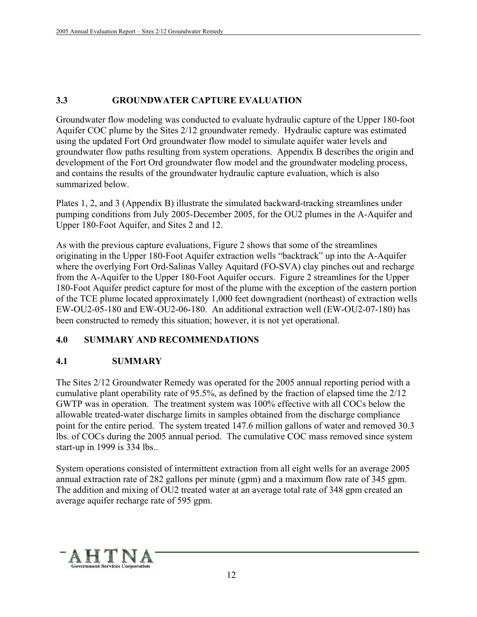# **3.3 GROUNDWATER CAPTURE EVALUATION**

Groundwater flow modeling was conducted to evaluate hydraulic capture of the Upper 180-foot Aquifer COC plume by the Sites 2/12 groundwater remedy. Hydraulic capture was estimated using the updated Fort Ord groundwater flow model to simulate aquifer water levels and groundwater flow paths resulting from system operations. Appendix B describes the origin and development of the Fort Ord groundwater flow model and the groundwater modeling process, and contains the results of the groundwater hydraulic capture evaluation, which is also summarized below.

Plates 1, 2, and 3 (Appendix B) illustrate the simulated backward-tracking streamlines under pumping conditions from July 2005-December 2005, for the OU2 plumes in the A-Aquifer and Upper 180-Foot Aquifer, and Sites 2 and 12.

As with the previous capture evaluations, Figure 2 shows that some of the streamlines originating in the Upper 180-Foot Aquifer extraction wells "backtrack" up into the A-Aquifer where the overlying Fort Ord-Salinas Valley Aquitard (FO-SVA) clay pinches out and recharge from the A-Aquifer to the Upper 180-Foot Aquifer occurs. Figure 2 streamlines for the Upper 180-Foot Aquifer predict capture for most of the plume with the exception of the eastern portion of the TCE plume located approximately 1,000 feet downgradient (northeast) of extraction wells EW-OU2-05-180 and EW-OU2-06-180. An additional extraction well (EW-OU2-07-180) has been constructed to remedy this situation; however, it is not yet operational.

# **4.0 SUMMARY AND RECOMMENDATIONS**

# **4.1 SUMMARY**

The Sites 2/12 Groundwater Remedy was operated for the 2005 annual reporting period with a cumulative plant operability rate of 95.5%, as defined by the fraction of elapsed time the 2/12 GWTP was in operation. The treatment system was 100% effective with all COCs below the allowable treated-water discharge limits in samples obtained from the discharge compliance point for the entire period. The system treated 147.6 million gallons of water and removed 30.3 lbs. of COCs during the 2005 annual period. The cumulative COC mass removed since system start-up in 1999 is 334 lbs..

System operations consisted of intermittent extraction from all eight wells for an average 2005 annual extraction rate of 282 gallons per minute (gpm) and a maximum flow rate of 345 gpm. The addition and mixing of OU2 treated water at an average total rate of 348 gpm created an average aquifer recharge rate of 595 gpm.

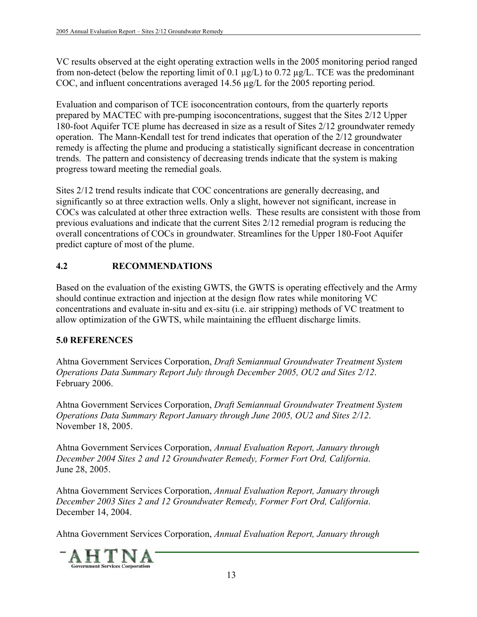VC results observed at the eight operating extraction wells in the 2005 monitoring period ranged from non-detect (below the reporting limit of 0.1 µg/L) to 0.72 µg/L. TCE was the predominant COC, and influent concentrations averaged 14.56 µg/L for the 2005 reporting period.

Evaluation and comparison of TCE isoconcentration contours, from the quarterly reports prepared by MACTEC with pre-pumping isoconcentrations, suggest that the Sites 2/12 Upper 180-foot Aquifer TCE plume has decreased in size as a result of Sites 2/12 groundwater remedy operation. The Mann-Kendall test for trend indicates that operation of the 2/12 groundwater remedy is affecting the plume and producing a statistically significant decrease in concentration trends. The pattern and consistency of decreasing trends indicate that the system is making progress toward meeting the remedial goals.

Sites 2/12 trend results indicate that COC concentrations are generally decreasing, and significantly so at three extraction wells. Only a slight, however not significant, increase in COCs was calculated at other three extraction wells. These results are consistent with those from previous evaluations and indicate that the current Sites 2/12 remedial program is reducing the overall concentrations of COCs in groundwater. Streamlines for the Upper 180-Foot Aquifer predict capture of most of the plume.

# **4.2 RECOMMENDATIONS**

Based on the evaluation of the existing GWTS, the GWTS is operating effectively and the Army should continue extraction and injection at the design flow rates while monitoring VC concentrations and evaluate in-situ and ex-situ (i.e. air stripping) methods of VC treatment to allow optimization of the GWTS, while maintaining the effluent discharge limits.

# **5.0 REFERENCES**

Ahtna Government Services Corporation, *Draft Semiannual Groundwater Treatment System Operations Data Summary Report July through December 2005, OU2 and Sites 2/12*. February 2006.

Ahtna Government Services Corporation, *Draft Semiannual Groundwater Treatment System Operations Data Summary Report January through June 2005, OU2 and Sites 2/12*. November 18, 2005.

Ahtna Government Services Corporation, *Annual Evaluation Report, January through December 2004 Sites 2 and 12 Groundwater Remedy, Former Fort Ord, California*. June 28, 2005.

Ahtna Government Services Corporation, *Annual Evaluation Report, January through December 2003 Sites 2 and 12 Groundwater Remedy, Former Fort Ord, California*. December 14, 2004.

Ahtna Government Services Corporation, *Annual Evaluation Report, January through* 

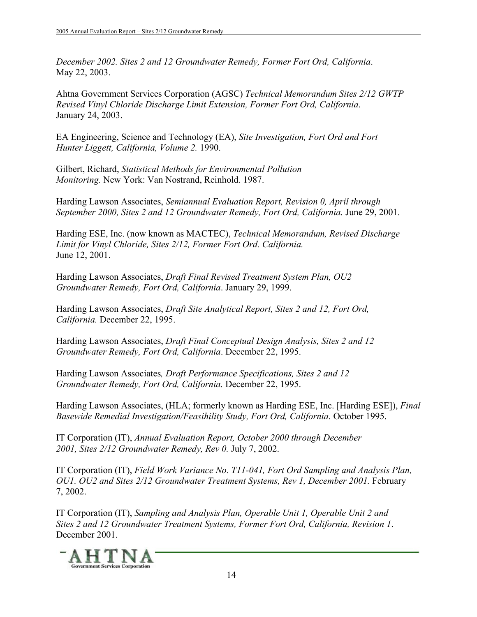*December 2002. Sites 2 and 12 Groundwater Remedy, Former Fort Ord, California*. May 22, 2003.

Ahtna Government Services Corporation (AGSC) *Technical Memorandum Sites 2/12 GWTP Revised Vinyl Chloride Discharge Limit Extension, Former Fort Ord, California*. January 24, 2003.

EA Engineering, Science and Technology (EA), *Site Investigation, Fort Ord and Fort Hunter Liggett, California, Volume 2.* 1990.

Gilbert, Richard, *Statistical Methods for Environmental Pollution Monitoring.* New York: Van Nostrand, Reinhold. 1987.

Harding Lawson Associates, *Semiannual Evaluation Report, Revision 0, April through September 2000, Sites 2 and 12 Groundwater Remedy, Fort Ord, California.* June 29, 2001.

Harding ESE, Inc. (now known as MACTEC), *Technical Memorandum, Revised Discharge Limit for Vinyl Chloride, Sites 2/12, Former Fort Ord. California.*  June 12, 2001.

Harding Lawson Associates, *Draft Final Revised Treatment System Plan, OU2 Groundwater Remedy, Fort Ord, California*. January 29, 1999.

Harding Lawson Associates, *Draft Site Analytical Report, Sites 2 and 12, Fort Ord, California.* December 22, 1995.

Harding Lawson Associates, *Draft Final Conceptual Design Analysis, Sites 2 and 12 Groundwater Remedy, Fort Ord, California*. December 22, 1995.

Harding Lawson Associates*, Draft Performance Specifications, Sites 2 and 12 Groundwater Remedy, Fort Ord, California.* December 22, 1995.

Harding Lawson Associates, (HLA; formerly known as Harding ESE, Inc. [Harding ESE]), *Final Basewide Remedial Investigation/Feasihility Study, Fort Ord, California.* October 1995.

IT Corporation (IT), *Annual Evaluation Report, October 2000 through December 2001, Sites 2/12 Groundwater Remedy, Rev 0.* July 7, 2002.

IT Corporation (IT), *Field Work Variance No. T11-041, Fort Ord Sampling and Analysis Plan, OU1. OU2 and Sites 2/12 Groundwater Treatment Systems, Rev 1, December 2001. February* 7, 2002.

IT Corporation (IT), *Sampling and Analysis Plan, Operable Unit 1, Operable Unit 2 and Sites 2 and 12 Groundwater Treatment Systems, Former Fort Ord, California, Revision 1*. December 2001.